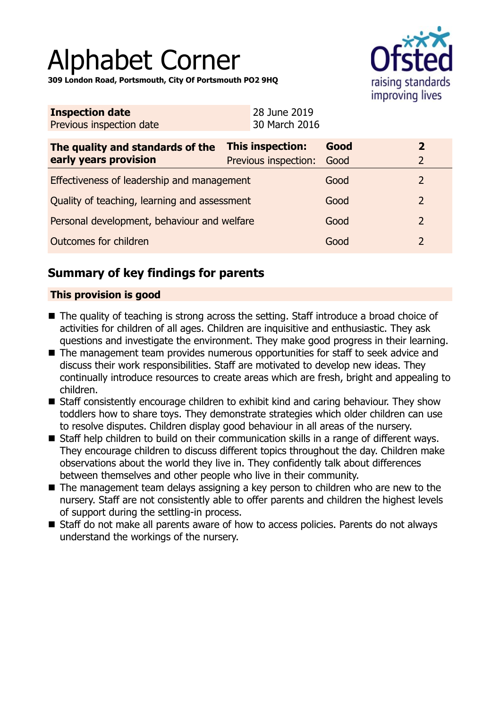# Alphabet Corner

**309 London Road, Portsmouth, City Of Portsmouth PO2 9HQ**



| <b>Inspection date</b><br>Previous inspection date        |                                                      | 28 June 2019<br>30 March 2016 |      |                                           |
|-----------------------------------------------------------|------------------------------------------------------|-------------------------------|------|-------------------------------------------|
| The quality and standards of the<br>early years provision | <b>This inspection:</b><br>Previous inspection: Good |                               | Good | $\overline{\mathbf{2}}$<br>$\overline{2}$ |
| Effectiveness of leadership and management                |                                                      |                               | Good | $\overline{2}$                            |
| Quality of teaching, learning and assessment              |                                                      |                               | Good | $\overline{2}$                            |
| Personal development, behaviour and welfare               |                                                      |                               | Good | 2                                         |
| <b>Outcomes for children</b>                              |                                                      |                               | Good | $\overline{2}$                            |

# **Summary of key findings for parents**

## **This provision is good**

- The quality of teaching is strong across the setting. Staff introduce a broad choice of activities for children of all ages. Children are inquisitive and enthusiastic. They ask questions and investigate the environment. They make good progress in their learning.
- $\blacksquare$  The management team provides numerous opportunities for staff to seek advice and discuss their work responsibilities. Staff are motivated to develop new ideas. They continually introduce resources to create areas which are fresh, bright and appealing to children.
- Staff consistently encourage children to exhibit kind and caring behaviour. They show toddlers how to share toys. They demonstrate strategies which older children can use to resolve disputes. Children display good behaviour in all areas of the nursery.
- Staff help children to build on their communication skills in a range of different ways. They encourage children to discuss different topics throughout the day. Children make observations about the world they live in. They confidently talk about differences between themselves and other people who live in their community.
- $\blacksquare$  The management team delays assigning a key person to children who are new to the nursery. Staff are not consistently able to offer parents and children the highest levels of support during the settling-in process.
- Staff do not make all parents aware of how to access policies. Parents do not always understand the workings of the nursery.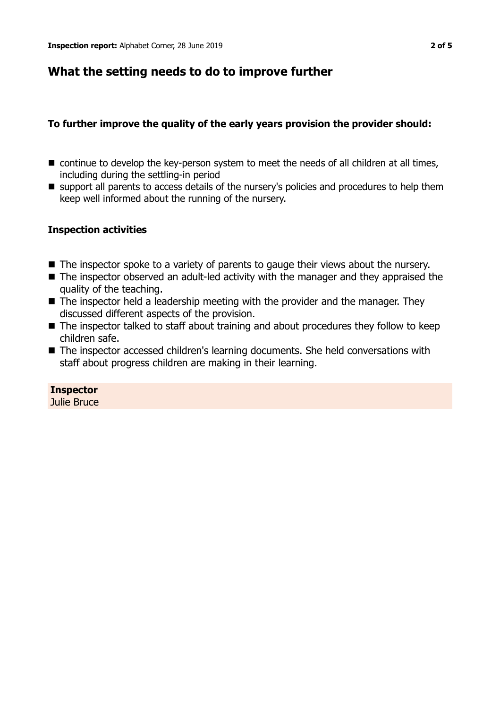## **What the setting needs to do to improve further**

## **To further improve the quality of the early years provision the provider should:**

- $\blacksquare$  continue to develop the key-person system to meet the needs of all children at all times, including during the settling-in period
- $\blacksquare$  support all parents to access details of the nursery's policies and procedures to help them keep well informed about the running of the nursery.

### **Inspection activities**

- $\blacksquare$  The inspector spoke to a variety of parents to gauge their views about the nursery.
- $\blacksquare$  The inspector observed an adult-led activity with the manager and they appraised the quality of the teaching.
- The inspector held a leadership meeting with the provider and the manager. They discussed different aspects of the provision.
- $\blacksquare$  The inspector talked to staff about training and about procedures they follow to keep children safe.
- The inspector accessed children's learning documents. She held conversations with staff about progress children are making in their learning.

**Inspector**

Julie Bruce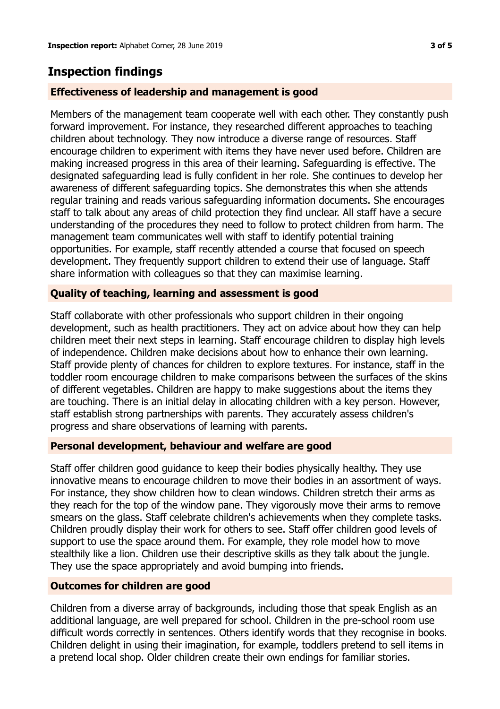## **Inspection findings**

#### **Effectiveness of leadership and management is good**

Members of the management team cooperate well with each other. They constantly push forward improvement. For instance, they researched different approaches to teaching children about technology. They now introduce a diverse range of resources. Staff encourage children to experiment with items they have never used before. Children are making increased progress in this area of their learning. Safeguarding is effective. The designated safeguarding lead is fully confident in her role. She continues to develop her awareness of different safeguarding topics. She demonstrates this when she attends regular training and reads various safeguarding information documents. She encourages staff to talk about any areas of child protection they find unclear. All staff have a secure understanding of the procedures they need to follow to protect children from harm. The management team communicates well with staff to identify potential training opportunities. For example, staff recently attended a course that focused on speech development. They frequently support children to extend their use of language. Staff share information with colleagues so that they can maximise learning.

#### **Quality of teaching, learning and assessment is good**

Staff collaborate with other professionals who support children in their ongoing development, such as health practitioners. They act on advice about how they can help children meet their next steps in learning. Staff encourage children to display high levels of independence. Children make decisions about how to enhance their own learning. Staff provide plenty of chances for children to explore textures. For instance, staff in the toddler room encourage children to make comparisons between the surfaces of the skins of different vegetables. Children are happy to make suggestions about the items they are touching. There is an initial delay in allocating children with a key person. However, staff establish strong partnerships with parents. They accurately assess children's progress and share observations of learning with parents.

### **Personal development, behaviour and welfare are good**

Staff offer children good guidance to keep their bodies physically healthy. They use innovative means to encourage children to move their bodies in an assortment of ways. For instance, they show children how to clean windows. Children stretch their arms as they reach for the top of the window pane. They vigorously move their arms to remove smears on the glass. Staff celebrate children's achievements when they complete tasks. Children proudly display their work for others to see. Staff offer children good levels of support to use the space around them. For example, they role model how to move stealthily like a lion. Children use their descriptive skills as they talk about the jungle. They use the space appropriately and avoid bumping into friends.

#### **Outcomes for children are good**

Children from a diverse array of backgrounds, including those that speak English as an additional language, are well prepared for school. Children in the pre-school room use difficult words correctly in sentences. Others identify words that they recognise in books. Children delight in using their imagination, for example, toddlers pretend to sell items in a pretend local shop. Older children create their own endings for familiar stories.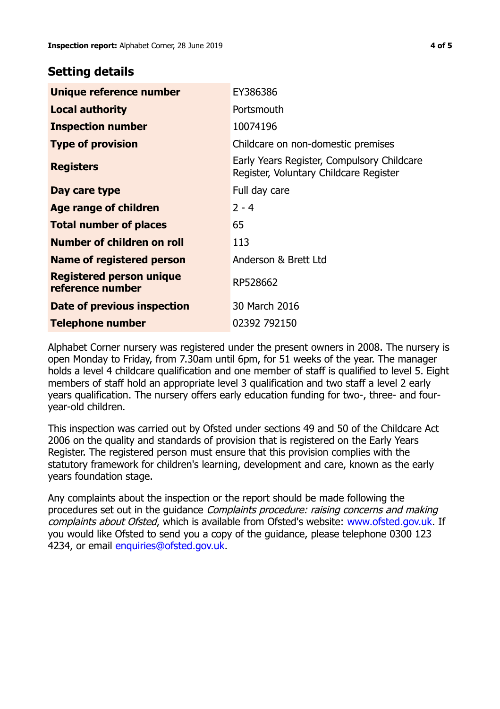## **Setting details**

| Unique reference number                      | EY386386                                                                             |  |
|----------------------------------------------|--------------------------------------------------------------------------------------|--|
| <b>Local authority</b>                       | Portsmouth                                                                           |  |
| <b>Inspection number</b>                     | 10074196                                                                             |  |
| <b>Type of provision</b>                     | Childcare on non-domestic premises                                                   |  |
| <b>Registers</b>                             | Early Years Register, Compulsory Childcare<br>Register, Voluntary Childcare Register |  |
| Day care type                                | Full day care                                                                        |  |
| <b>Age range of children</b>                 | $2 - 4$                                                                              |  |
| <b>Total number of places</b>                | 65                                                                                   |  |
| Number of children on roll                   | 113                                                                                  |  |
| Name of registered person                    | Anderson & Brett Ltd                                                                 |  |
| Registered person unique<br>reference number | RP528662                                                                             |  |
| Date of previous inspection                  | 30 March 2016                                                                        |  |
| <b>Telephone number</b>                      | 02392 792150                                                                         |  |

Alphabet Corner nursery was registered under the present owners in 2008. The nursery is open Monday to Friday, from 7.30am until 6pm, for 51 weeks of the year. The manager holds a level 4 childcare qualification and one member of staff is qualified to level 5. Eight members of staff hold an appropriate level 3 qualification and two staff a level 2 early years qualification. The nursery offers early education funding for two-, three- and fouryear-old children.

This inspection was carried out by Ofsted under sections 49 and 50 of the Childcare Act 2006 on the quality and standards of provision that is registered on the Early Years Register. The registered person must ensure that this provision complies with the statutory framework for children's learning, development and care, known as the early years foundation stage.

Any complaints about the inspection or the report should be made following the procedures set out in the guidance Complaints procedure: raising concerns and making complaints about Ofsted, which is available from Ofsted's website: www.ofsted.gov.uk. If you would like Ofsted to send you a copy of the guidance, please telephone 0300 123 4234, or email [enquiries@ofsted.gov.uk.](mailto:enquiries@ofsted.gov.uk)